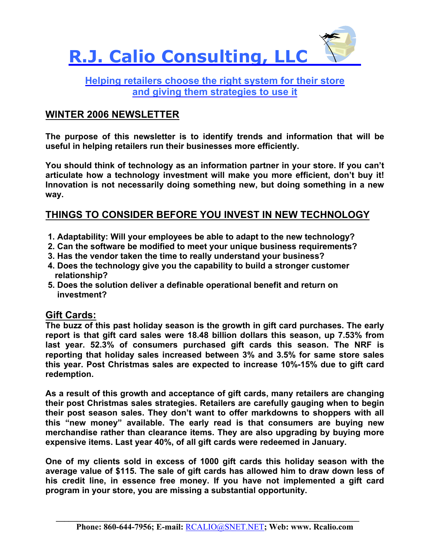

## **Helping retailers choose the right system for their store and giving them strategies to use it**

## **WINTER 2006 NEWSLETTER**

**The purpose of this newsletter is to identify trends and information that will be useful in helping retailers run their businesses more efficiently.** 

**You should think of technology as an information partner in your store. If you can't articulate how a technology investment will make you more efficient, don't buy it! Innovation is not necessarily doing something new, but doing something in a new way.** 

### **THINGS TO CONSIDER BEFORE YOU INVEST IN NEW TECHNOLOGY**

- **1. Adaptability: Will your employees be able to adapt to the new technology?**
- **2. Can the software be modified to meet your unique business requirements?**
- **3. Has the vendor taken the time to really understand your business?**
- **4. Does the technology give you the capability to build a stronger customer relationship?**
- **5. Does the solution deliver a definable operational benefit and return on investment?**

#### **Gift Cards:**

**The buzz of this past holiday season is the growth in gift card purchases. The early report is that gift card sales were 18.48 billion dollars this season, up 7.53% from last year. 52.3% of consumers purchased gift cards this season. The NRF is reporting that holiday sales increased between 3% and 3.5% for same store sales this year. Post Christmas sales are expected to increase 10%-15% due to gift card redemption.** 

**As a result of this growth and acceptance of gift cards, many retailers are changing their post Christmas sales strategies. Retailers are carefully gauging when to begin their post season sales. They don't want to offer markdowns to shoppers with all this "new money" available. The early read is that consumers are buying new merchandise rather than clearance items. They are also upgrading by buying more expensive items. Last year 40%, of all gift cards were redeemed in January.** 

**One of my clients sold in excess of 1000 gift cards this holiday season with the average value of \$115. The sale of gift cards has allowed him to draw down less of his credit line, in essence free money. If you have not implemented a gift card program in your store, you are missing a substantial opportunity.** 

 $\mathcal{L} = \{ \mathcal{L} = \{ \mathcal{L} \mid \mathcal{L} = \{ \mathcal{L} \mid \mathcal{L} = \{ \mathcal{L} \mid \mathcal{L} = \{ \mathcal{L} \mid \mathcal{L} = \{ \mathcal{L} \mid \mathcal{L} = \{ \mathcal{L} \mid \mathcal{L} = \{ \mathcal{L} \mid \mathcal{L} = \{ \mathcal{L} \mid \mathcal{L} = \{ \mathcal{L} \mid \mathcal{L} = \{ \mathcal{L} \mid \mathcal{L} = \{ \mathcal{L} \mid \mathcal{L} = \{ \mathcal{L} \mid \mathcal{L} =$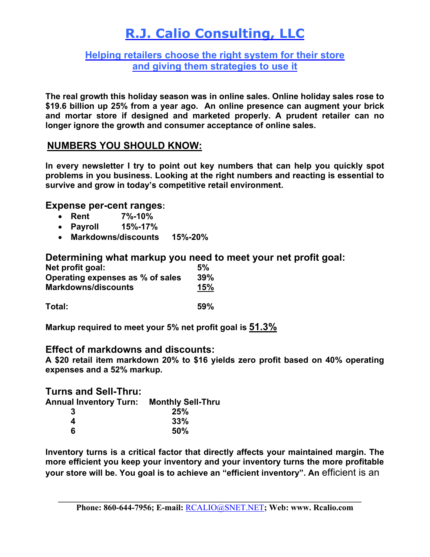## **R.J. Calio Consulting, LLC**

#### **Helping retailers choose the right system for their store and giving them strategies to use it**

**The real growth this holiday season was in online sales. Online holiday sales rose to \$19.6 billion up 25% from a year ago. An online presence can augment your brick and mortar store if designed and marketed properly. A prudent retailer can no longer ignore the growth and consumer acceptance of online sales.** 

## **NUMBERS YOU SHOULD KNOW:**

**In every newsletter I try to point out key numbers that can help you quickly spot problems in you business. Looking at the right numbers and reacting is essential to survive and grow in today's competitive retail environment.** 

#### **Expense per-cent ranges:**

- **Rent 7%-10%**
- **Payroll 15%-17%**
- **Markdowns/discounts 15%-20%**

#### **Determining what markup you need to meet your net profit goal:**

| Net profit goal:                 | 5%  |
|----------------------------------|-----|
| Operating expenses as % of sales | 39% |
| <b>Markdowns/discounts</b>       | 15% |
|                                  |     |

**Total: 59%** 

**Markup required to meet your 5% net profit goal is 51.3%**

#### **Effect of markdowns and discounts:**

**A \$20 retail item markdown 20% to \$16 yields zero profit based on 40% operating expenses and a 52% markup.** 

**Turns and Sell-Thru:** 

| Annual Inventory Turn: | <b>Monthly Sell-Thru</b> |
|------------------------|--------------------------|
| 3                      | 25%                      |
| 4                      | 33%                      |

 **6 50%** 

**Inventory turns is a critical factor that directly affects your maintained margin. The more efficient you keep your inventory and your inventory turns the more profitable your store will be. You goal is to achieve an "efficient inventory". An** efficient is an

 $\mathcal{L}_\mathcal{L} = \mathcal{L}_\mathcal{L} = \mathcal{L}_\mathcal{L} = \mathcal{L}_\mathcal{L} = \mathcal{L}_\mathcal{L} = \mathcal{L}_\mathcal{L} = \mathcal{L}_\mathcal{L} = \mathcal{L}_\mathcal{L} = \mathcal{L}_\mathcal{L} = \mathcal{L}_\mathcal{L} = \mathcal{L}_\mathcal{L} = \mathcal{L}_\mathcal{L} = \mathcal{L}_\mathcal{L} = \mathcal{L}_\mathcal{L} = \mathcal{L}_\mathcal{L} = \mathcal{L}_\mathcal{L} = \mathcal{L}_\mathcal{L}$